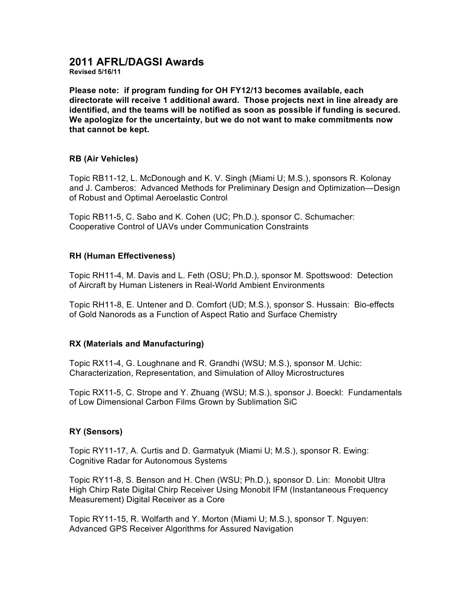# **2011 AFRL/DAGSI Awards**

**Revised 5/16/11**

**Please note: if program funding for OH FY12/13 becomes available, each directorate will receive 1 additional award. Those projects next in line already are identified, and the teams will be notified as soon as possible if funding is secured. We apologize for the uncertainty, but we do not want to make commitments now that cannot be kept.**

## **RB (Air Vehicles)**

Topic RB11-12, L. McDonough and K. V. Singh (Miami U; M.S.), sponsors R. Kolonay and J. Camberos: Advanced Methods for Preliminary Design and Optimization—Design of Robust and Optimal Aeroelastic Control

Topic RB11-5, C. Sabo and K. Cohen (UC; Ph.D.), sponsor C. Schumacher: Cooperative Control of UAVs under Communication Constraints

## **RH (Human Effectiveness)**

Topic RH11-4, M. Davis and L. Feth (OSU; Ph.D.), sponsor M. Spottswood: Detection of Aircraft by Human Listeners in Real-World Ambient Environments

Topic RH11-8, E. Untener and D. Comfort (UD; M.S.), sponsor S. Hussain: Bio-effects of Gold Nanorods as a Function of Aspect Ratio and Surface Chemistry

#### **RX (Materials and Manufacturing)**

Topic RX11-4, G. Loughnane and R. Grandhi (WSU; M.S.), sponsor M. Uchic: Characterization, Representation, and Simulation of Alloy Microstructures

Topic RX11-5, C. Strope and Y. Zhuang (WSU; M.S.), sponsor J. Boeckl: Fundamentals of Low Dimensional Carbon Films Grown by Sublimation SiC

# **RY (Sensors)**

Topic RY11-17, A. Curtis and D. Garmatyuk (Miami U; M.S.), sponsor R. Ewing: Cognitive Radar for Autonomous Systems

Topic RY11-8, S. Benson and H. Chen (WSU; Ph.D.), sponsor D. Lin: Monobit Ultra High Chirp Rate Digital Chirp Receiver Using Monobit IFM (Instantaneous Frequency Measurement) Digital Receiver as a Core

Topic RY11-15, R. Wolfarth and Y. Morton (Miami U; M.S.), sponsor T. Nguyen: Advanced GPS Receiver Algorithms for Assured Navigation